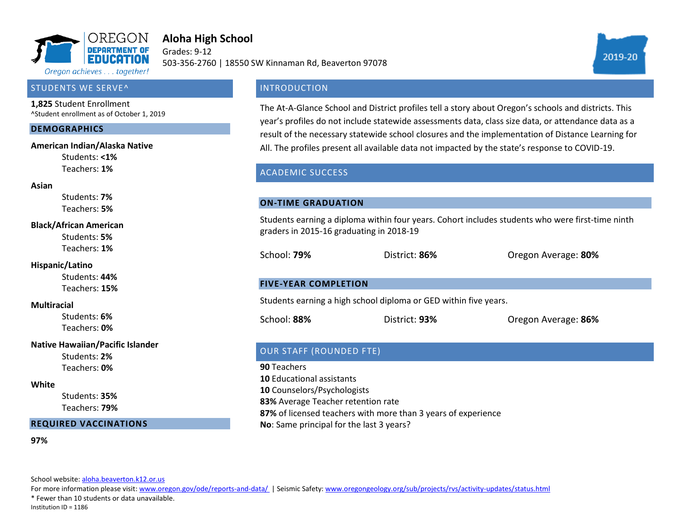

# **Aloha High School**

Grades: 9-12 503-356-2760 | 18550 SW Kinnaman Rd, Beaverton 97078

## STUDENTS WE SERVE^

**1,825** Student Enrollment ^Student enrollment as of October 1, 2019

#### **DEMOGRAPHICS**

#### **American Indian/Alaska Native**

Students: **<1%** Teachers: **1%**

#### **Asian**

Students: **7%** Teachers: **5%**

#### **Black/African American**

Students: **5%** Teachers: **1%**

## **Hispanic/Latino**

Students: **44%** Teachers: **15%**

## **Multiracial**

Students: **6%** Teachers: **0%**

## **Native Hawaiian/Pacific Islander**

Students: **2%** Teachers: **0%**

#### **White**

Students: **35%** Teachers: **79%**

## **REQUIRED VACCINATIONS**

#### **97%**

School website[: aloha.beaverton.k12.or.us](aloha.beaverton.k12.or.us)

For more information please visit: [www.oregon.gov/ode/reports-and-data/ |](https://www.oregon.gov/ode/reports-and-data/Pages/default.aspx) Seismic Safety[: www.oregongeology.org/sub/projects/rvs/activity-updates/status.html](http://www.oregongeology.org/sub/projects/rvs/activity-updates/status.html)

\* Fewer than 10 students or data unavailable.

Institution ID = 1186

# **INTRODUCTION**

The At-A-Glance School and District profiles tell a story about Oregon's schools and districts. This year's profiles do not include statewide assessments data, class size data, or attendance data as a result of the necessary statewide school closures and the implementation of Distance Learning for All. The profiles present all available data not impacted by the state's response to COVID-19.

# ACADEMIC SUCCESS

## **ON-TIME GRADUATION**

Students earning a diploma within four years. Cohort includes students who were first-time ninth graders in 2015-16 graduating in 2018-19

School: **79%** District: **86%** Oregon Average: **80%**

## **FIVE-YEAR COMPLETION**

Students earning a high school diploma or GED within five years.

School: **88%** District: **93%** Oregon Average: **86%**

# OUR STAFF (ROUNDED FTE)

**90** Teachers **10** Educational assistants **10** Counselors/Psychologists **83%** Average Teacher retention rate **87%** of licensed teachers with more than 3 years of experience **No**: Same principal for the last 3 years?